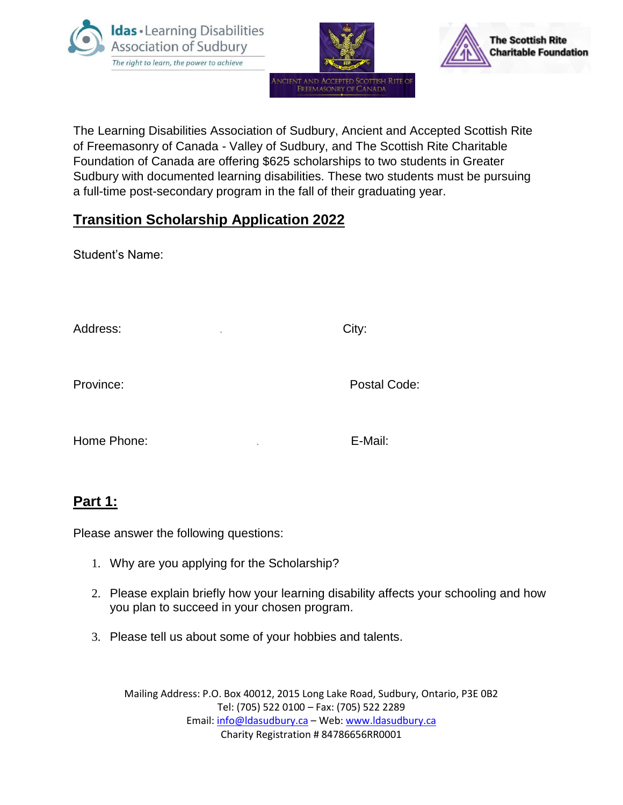





The Learning Disabilities Association of Sudbury, Ancient and Accepted Scottish Rite of Freemasonry of Canada - Valley of Sudbury, and The Scottish Rite Charitable Foundation of Canada are offering \$625 scholarships to two students in Greater Sudbury with documented learning disabilities. These two students must be pursuing a full-time post-secondary program in the fall of their graduating year.

## **Transition Scholarship Application 2022**

Student's Name:

Address: City:

Province: **Province: Postal Code: Postal Code:** 

Home Phone: . E-Mail:

## **Part 1:**

Please answer the following questions:

- 1. Why are you applying for the Scholarship?
- 2. Please explain briefly how your learning disability affects your schooling and how you plan to succeed in your chosen program.
- 3. Please tell us about some of your hobbies and talents.

Mailing Address: P.O. Box 40012, 2015 Long Lake Road, Sudbury, Ontario, P3E 0B2 Tel: (705) 522 0100 – Fax: (705) 522 2289 Email: [info@ldasudbury.ca](mailto:info@ldasudbury.ca) – Web: [www.ldasudbury.ca](http://www.ldasudbury.ca/) Charity Registration # 84786656RR0001